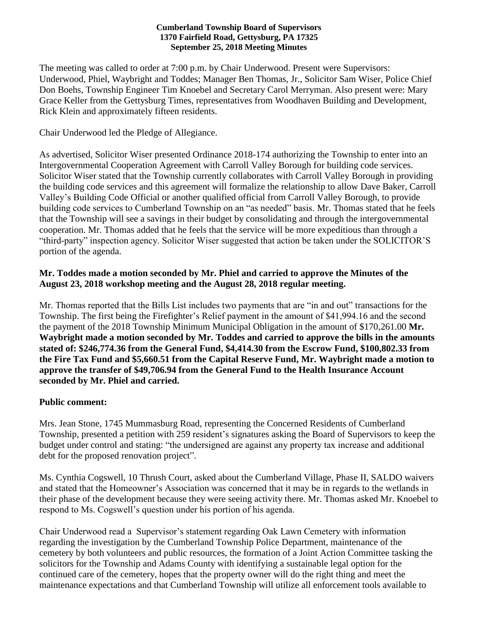#### **Cumberland Township Board of Supervisors 1370 Fairfield Road, Gettysburg, PA 17325 September 25, 2018 Meeting Minutes**

The meeting was called to order at 7:00 p.m. by Chair Underwood. Present were Supervisors: Underwood, Phiel, Waybright and Toddes; Manager Ben Thomas, Jr., Solicitor Sam Wiser, Police Chief Don Boehs, Township Engineer Tim Knoebel and Secretary Carol Merryman. Also present were: Mary Grace Keller from the Gettysburg Times, representatives from Woodhaven Building and Development, Rick Klein and approximately fifteen residents.

Chair Underwood led the Pledge of Allegiance.

As advertised, Solicitor Wiser presented Ordinance 2018-174 authorizing the Township to enter into an Intergovernmental Cooperation Agreement with Carroll Valley Borough for building code services. Solicitor Wiser stated that the Township currently collaborates with Carroll Valley Borough in providing the building code services and this agreement will formalize the relationship to allow Dave Baker, Carroll Valley's Building Code Official or another qualified official from Carroll Valley Borough, to provide building code services to Cumberland Township on an "as needed" basis. Mr. Thomas stated that he feels that the Township will see a savings in their budget by consolidating and through the intergovernmental cooperation. Mr. Thomas added that he feels that the service will be more expeditious than through a "third-party" inspection agency. Solicitor Wiser suggested that action be taken under the SOLICITOR'S portion of the agenda.

#### **Mr. Toddes made a motion seconded by Mr. Phiel and carried to approve the Minutes of the August 23, 2018 workshop meeting and the August 28, 2018 regular meeting.**

Mr. Thomas reported that the Bills List includes two payments that are "in and out" transactions for the Township. The first being the Firefighter's Relief payment in the amount of \$41,994.16 and the second the payment of the 2018 Township Minimum Municipal Obligation in the amount of \$170,261.00 **Mr. Waybright made a motion seconded by Mr. Toddes and carried to approve the bills in the amounts stated of: \$246,774.36 from the General Fund, \$4,414.30 from the Escrow Fund, \$100,802.33 from the Fire Tax Fund and \$5,660.51 from the Capital Reserve Fund, Mr. Waybright made a motion to approve the transfer of \$49,706.94 from the General Fund to the Health Insurance Account seconded by Mr. Phiel and carried.**

#### **Public comment:**

Mrs. Jean Stone, 1745 Mummasburg Road, representing the Concerned Residents of Cumberland Township, presented a petition with 259 resident's signatures asking the Board of Supervisors to keep the budget under control and stating: "the undersigned are against any property tax increase and additional debt for the proposed renovation project".

Ms. Cynthia Cogswell, 10 Thrush Court, asked about the Cumberland Village, Phase II, SALDO waivers and stated that the Homeowner's Association was concerned that it may be in regards to the wetlands in their phase of the development because they were seeing activity there. Mr. Thomas asked Mr. Knoebel to respond to Ms. Cogswell's question under his portion of his agenda.

Chair Underwood read a Supervisor's statement regarding Oak Lawn Cemetery with information regarding the investigation by the Cumberland Township Police Department, maintenance of the cemetery by both volunteers and public resources, the formation of a Joint Action Committee tasking the solicitors for the Township and Adams County with identifying a sustainable legal option for the continued care of the cemetery, hopes that the property owner will do the right thing and meet the maintenance expectations and that Cumberland Township will utilize all enforcement tools available to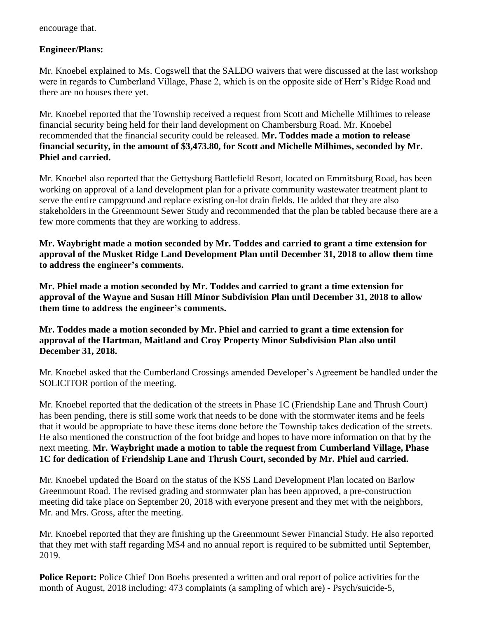encourage that.

## **Engineer/Plans:**

Mr. Knoebel explained to Ms. Cogswell that the SALDO waivers that were discussed at the last workshop were in regards to Cumberland Village, Phase 2, which is on the opposite side of Herr's Ridge Road and there are no houses there yet.

Mr. Knoebel reported that the Township received a request from Scott and Michelle Milhimes to release financial security being held for their land development on Chambersburg Road. Mr. Knoebel recommended that the financial security could be released. **Mr. Toddes made a motion to release financial security, in the amount of \$3,473.80, for Scott and Michelle Milhimes, seconded by Mr. Phiel and carried.**

Mr. Knoebel also reported that the Gettysburg Battlefield Resort, located on Emmitsburg Road, has been working on approval of a land development plan for a private community wastewater treatment plant to serve the entire campground and replace existing on-lot drain fields. He added that they are also stakeholders in the Greenmount Sewer Study and recommended that the plan be tabled because there are a few more comments that they are working to address.

**Mr. Waybright made a motion seconded by Mr. Toddes and carried to grant a time extension for approval of the Musket Ridge Land Development Plan until December 31, 2018 to allow them time to address the engineer's comments.**

**Mr. Phiel made a motion seconded by Mr. Toddes and carried to grant a time extension for approval of the Wayne and Susan Hill Minor Subdivision Plan until December 31, 2018 to allow them time to address the engineer's comments.**

**Mr. Toddes made a motion seconded by Mr. Phiel and carried to grant a time extension for approval of the Hartman, Maitland and Croy Property Minor Subdivision Plan also until December 31, 2018.**

Mr. Knoebel asked that the Cumberland Crossings amended Developer's Agreement be handled under the SOLICITOR portion of the meeting.

Mr. Knoebel reported that the dedication of the streets in Phase 1C (Friendship Lane and Thrush Court) has been pending, there is still some work that needs to be done with the stormwater items and he feels that it would be appropriate to have these items done before the Township takes dedication of the streets. He also mentioned the construction of the foot bridge and hopes to have more information on that by the next meeting. **Mr. Waybright made a motion to table the request from Cumberland Village, Phase 1C for dedication of Friendship Lane and Thrush Court, seconded by Mr. Phiel and carried.**

Mr. Knoebel updated the Board on the status of the KSS Land Development Plan located on Barlow Greenmount Road. The revised grading and stormwater plan has been approved, a pre-construction meeting did take place on September 20, 2018 with everyone present and they met with the neighbors, Mr. and Mrs. Gross, after the meeting.

Mr. Knoebel reported that they are finishing up the Greenmount Sewer Financial Study. He also reported that they met with staff regarding MS4 and no annual report is required to be submitted until September, 2019.

**Police Report:** Police Chief Don Boehs presented a written and oral report of police activities for the month of August, 2018 including: 473 complaints (a sampling of which are) - Psych/suicide-5,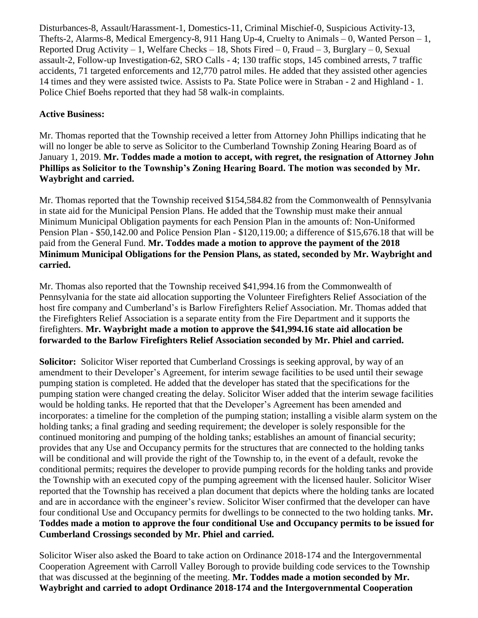Disturbances-8, Assault/Harassment-1, Domestics-11, Criminal Mischief-0, Suspicious Activity-13, Thefts-2, Alarms-8, Medical Emergency-8, 911 Hang Up-4, Cruelty to Animals – 0, Wanted Person – 1, Reported Drug Activity – 1, Welfare Checks – 18, Shots Fired – 0, Fraud – 3, Burglary – 0, Sexual assault-2, Follow-up Investigation-62, SRO Calls - 4; 130 traffic stops, 145 combined arrests, 7 traffic accidents, 71 targeted enforcements and 12,770 patrol miles. He added that they assisted other agencies 14 times and they were assisted twice. Assists to Pa. State Police were in Straban - 2 and Highland - 1. Police Chief Boehs reported that they had 58 walk-in complaints.

## **Active Business:**

Mr. Thomas reported that the Township received a letter from Attorney John Phillips indicating that he will no longer be able to serve as Solicitor to the Cumberland Township Zoning Hearing Board as of January 1, 2019. **Mr. Toddes made a motion to accept, with regret, the resignation of Attorney John Phillips as Solicitor to the Township's Zoning Hearing Board. The motion was seconded by Mr. Waybright and carried.** 

Mr. Thomas reported that the Township received \$154,584.82 from the Commonwealth of Pennsylvania in state aid for the Municipal Pension Plans. He added that the Township must make their annual Minimum Municipal Obligation payments for each Pension Plan in the amounts of: Non-Uniformed Pension Plan - \$50,142.00 and Police Pension Plan - \$120,119.00; a difference of \$15,676.18 that will be paid from the General Fund. **Mr. Toddes made a motion to approve the payment of the 2018 Minimum Municipal Obligations for the Pension Plans, as stated, seconded by Mr. Waybright and carried.**

Mr. Thomas also reported that the Township received \$41,994.16 from the Commonwealth of Pennsylvania for the state aid allocation supporting the Volunteer Firefighters Relief Association of the host fire company and Cumberland's is Barlow Firefighters Relief Association. Mr. Thomas added that the Firefighters Relief Association is a separate entity from the Fire Department and it supports the firefighters. **Mr. Waybright made a motion to approve the \$41,994.16 state aid allocation be forwarded to the Barlow Firefighters Relief Association seconded by Mr. Phiel and carried.**

**Solicitor:** Solicitor Wiser reported that Cumberland Crossings is seeking approval, by way of an amendment to their Developer's Agreement, for interim sewage facilities to be used until their sewage pumping station is completed. He added that the developer has stated that the specifications for the pumping station were changed creating the delay. Solicitor Wiser added that the interim sewage facilities would be holding tanks. He reported that that the Developer's Agreement has been amended and incorporates: a timeline for the completion of the pumping station; installing a visible alarm system on the holding tanks; a final grading and seeding requirement; the developer is solely responsible for the continued monitoring and pumping of the holding tanks; establishes an amount of financial security; provides that any Use and Occupancy permits for the structures that are connected to the holding tanks will be conditional and will provide the right of the Township to, in the event of a default, revoke the conditional permits; requires the developer to provide pumping records for the holding tanks and provide the Township with an executed copy of the pumping agreement with the licensed hauler. Solicitor Wiser reported that the Township has received a plan document that depicts where the holding tanks are located and are in accordance with the engineer's review. Solicitor Wiser confirmed that the developer can have four conditional Use and Occupancy permits for dwellings to be connected to the two holding tanks. **Mr. Toddes made a motion to approve the four conditional Use and Occupancy permits to be issued for Cumberland Crossings seconded by Mr. Phiel and carried.**

Solicitor Wiser also asked the Board to take action on Ordinance 2018-174 and the Intergovernmental Cooperation Agreement with Carroll Valley Borough to provide building code services to the Township that was discussed at the beginning of the meeting. **Mr. Toddes made a motion seconded by Mr. Waybright and carried to adopt Ordinance 2018-174 and the Intergovernmental Cooperation**